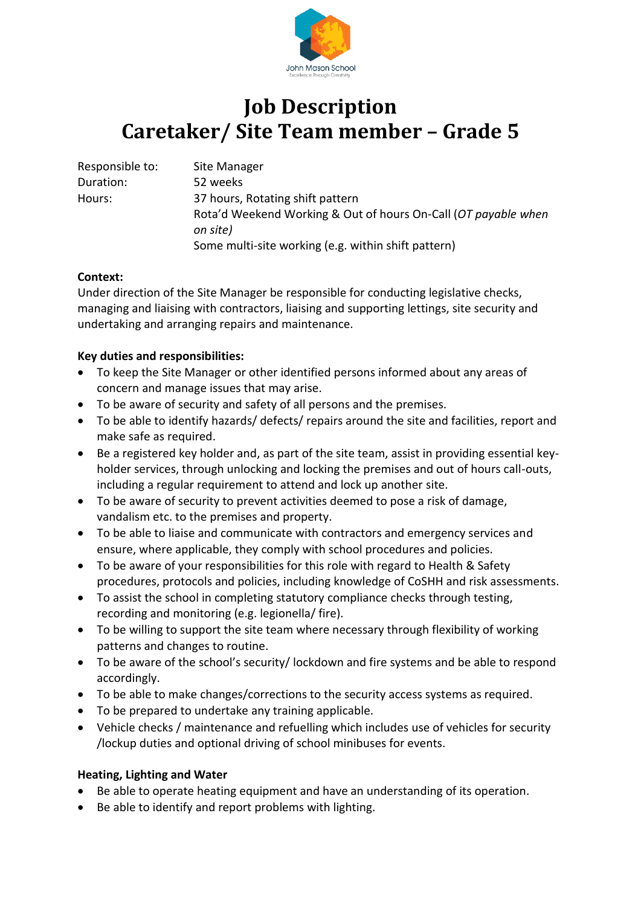

# **Job Description Caretaker/ Site Team member – Grade 5**

Responsible to: Site Manager Duration: 52 weeks Hours: 37 hours, Rotating shift pattern Rota'd Weekend Working & Out of hours On-Call (*OT payable when on site)* Some multi-site working (e.g. within shift pattern)

### **Context:**

Under direction of the Site Manager be responsible for conducting legislative checks, managing and liaising with contractors, liaising and supporting lettings, site security and undertaking and arranging repairs and maintenance.

## **Key duties and responsibilities:**

- To keep the Site Manager or other identified persons informed about any areas of concern and manage issues that may arise.
- To be aware of security and safety of all persons and the premises.
- To be able to identify hazards/ defects/ repairs around the site and facilities, report and make safe as required.
- Be a registered key holder and, as part of the site team, assist in providing essential keyholder services, through unlocking and locking the premises and out of hours call-outs, including a regular requirement to attend and lock up another site.
- To be aware of security to prevent activities deemed to pose a risk of damage, vandalism etc. to the premises and property.
- To be able to liaise and communicate with contractors and emergency services and ensure, where applicable, they comply with school procedures and policies.
- To be aware of your responsibilities for this role with regard to Health & Safety procedures, protocols and policies, including knowledge of CoSHH and risk assessments.
- To assist the school in completing statutory compliance checks through testing, recording and monitoring (e.g. legionella/ fire).
- To be willing to support the site team where necessary through flexibility of working patterns and changes to routine.
- To be aware of the school's security/ lockdown and fire systems and be able to respond accordingly.
- To be able to make changes/corrections to the security access systems as required.
- To be prepared to undertake any training applicable.
- Vehicle checks / maintenance and refuelling which includes use of vehicles for security /lockup duties and optional driving of school minibuses for events.

### **Heating, Lighting and Water**

- Be able to operate heating equipment and have an understanding of its operation.
- Be able to identify and report problems with lighting.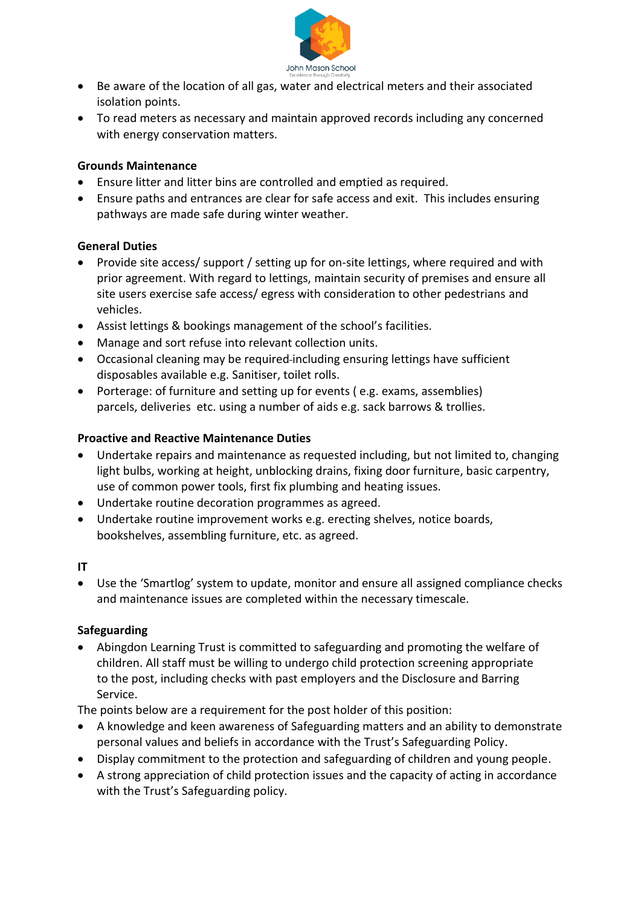

- Be aware of the location of all gas, water and electrical meters and their associated isolation points.
- To read meters as necessary and maintain approved records including any concerned with energy conservation matters.

#### **Grounds Maintenance**

- Ensure litter and litter bins are controlled and emptied as required.
- Ensure paths and entrances are clear for safe access and exit. This includes ensuring pathways are made safe during winter weather.

### **General Duties**

- Provide site access/ support / setting up for on-site lettings, where required and with prior agreement. With regard to lettings, maintain security of premises and ensure all site users exercise safe access/ egress with consideration to other pedestrians and vehicles.
- Assist lettings & bookings management of the school's facilities.
- Manage and sort refuse into relevant collection units.
- Occasional cleaning may be required-including ensuring lettings have sufficient disposables available e.g. Sanitiser, toilet rolls.
- Porterage: of furniture and setting up for events ( e.g. exams, assemblies) parcels, deliveries etc. using a number of aids e.g. sack barrows & trollies.

#### **Proactive and Reactive Maintenance Duties**

- Undertake repairs and maintenance as requested including, but not limited to, changing light bulbs, working at height, unblocking drains, fixing door furniture, basic carpentry, use of common power tools, first fix plumbing and heating issues.
- Undertake routine decoration programmes as agreed.
- Undertake routine improvement works e.g. erecting shelves, notice boards, bookshelves, assembling furniture, etc. as agreed.

### **IT**

 Use the 'Smartlog' system to update, monitor and ensure all assigned compliance checks and maintenance issues are completed within the necessary timescale.

### **Safeguarding**

 Abingdon Learning Trust is committed to safeguarding and promoting the welfare of children. All staff must be willing to undergo child protection screening appropriate to the post, including checks with past employers and the Disclosure and Barring Service.

The points below are a requirement for the post holder of this position:

- A knowledge and keen awareness of Safeguarding matters and an ability to demonstrate personal values and beliefs in accordance with the Trust's Safeguarding Policy.
- Display commitment to the protection and safeguarding of children and young people.
- A strong appreciation of child protection issues and the capacity of acting in accordance with the Trust's Safeguarding policy.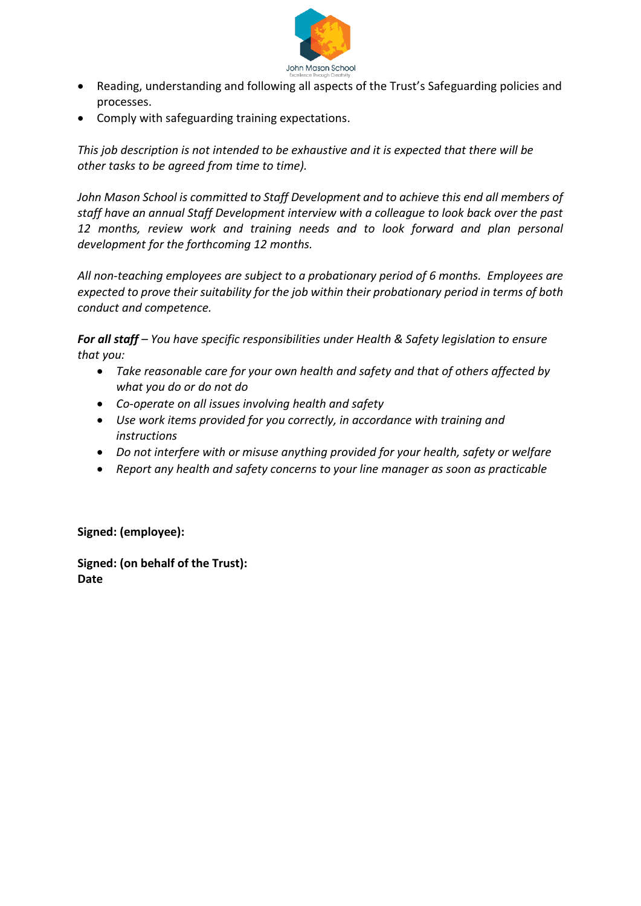

- Reading, understanding and following all aspects of the Trust's Safeguarding policies and processes.
- Comply with safeguarding training expectations.

*This job description is not intended to be exhaustive and it is expected that there will be other tasks to be agreed from time to time).*

*John Mason School is committed to Staff Development and to achieve this end all members of staff have an annual Staff Development interview with a colleague to look back over the past 12 months, review work and training needs and to look forward and plan personal development for the forthcoming 12 months.*

*All non-teaching employees are subject to a probationary period of 6 months. Employees are expected to prove their suitability for the job within their probationary period in terms of both conduct and competence.* 

*For all staff – You have specific responsibilities under Health & Safety legislation to ensure that you:*

- *Take reasonable care for your own health and safety and that of others affected by what you do or do not do*
- *Co-operate on all issues involving health and safety*
- *Use work items provided for you correctly, in accordance with training and instructions*
- *Do not interfere with or misuse anything provided for your health, safety or welfare*
- *Report any health and safety concerns to your line manager as soon as practicable*

**Signed: (employee):**

**Signed: (on behalf of the Trust): Date**